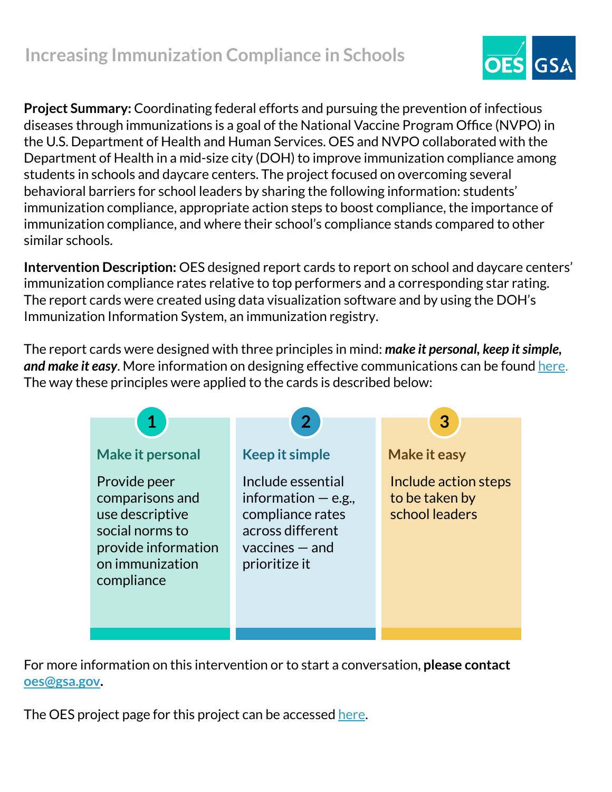

**Project Summary:** Coordinating federal efforts and pursuing the prevention of infectious diseases through immunizations is a goal of the National Vaccine Program Office (NVPO) in the U.S. Department of Health and Human Services. OES and NVPO collaborated with the Department of Health in a mid-size city (DOH) to improve immunization compliance among students in schools and daycare centers. The project focused on overcoming several behavioral barriers for school leaders by sharing the following information: students' immunization compliance, appropriate action steps to boost compliance, the importance of immunization compliance, and where their school's compliance stands compared to other similar schools.

**Intervention Description:** OES designed report cards to report on school and daycare centers' immunization compliance rates relative to top performers and a corresponding star rating. The report cards were created using data visualization software and by using the DOH's Immunization Information System, an immunization registry.

The report cards were designed with three principles in mind: *make it personal, keep it simple, and make it easy*. More information on designing effective communications can be found [here.](https://oes.gsa.gov/assets/abstracts/OES%20Learnings%20on%20Writing%20Better%20Communications%202018.pdf) The way these principles were applied to the cards is described below:



For more information on this intervention or to start a conversation, **please contact [oes@gsa.gov](mailto:oes@gsa.gov).**

The OES project page for this project can be accessed [here.](https://oes.gsa.gov/projects/vaccine-report-cards/)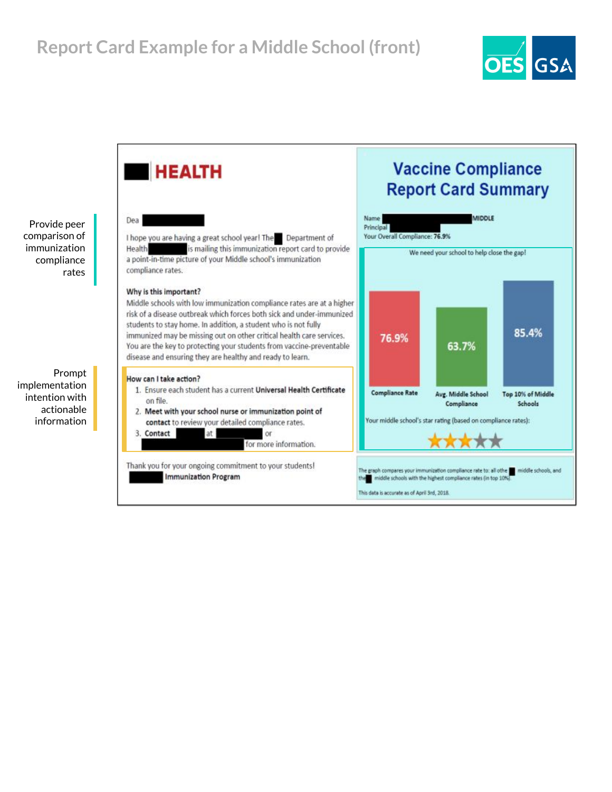

Provide peer comparison of immunization compliance rates

Prompt implementation intention with actionable information